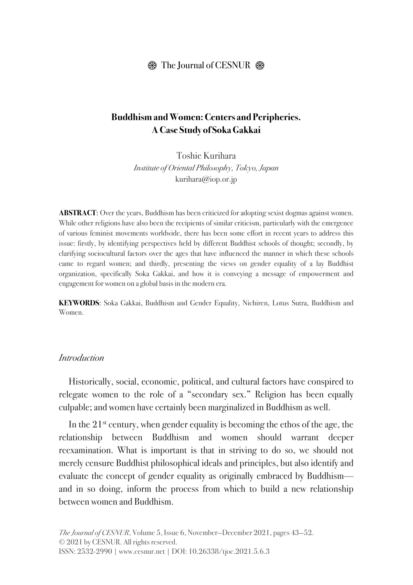# **Buddhism and Women: Centers and Peripheries. A Case Study of Soka Gakkai**

Toshie Kurihara *Institute of Oriental Philosophy, Tokyo, Japan* kurihara@iop.or.jp

**ABSTRACT:** Over the years, Buddhism has been criticized for adopting sexist dogmas against women. While other religions have also been the recipients of similar criticism, particularly with the emergence of various feminist movements worldwide, there has been some effort in recent years to address this issue: firstly, by identifying perspectives held by different Buddhist schools of thought; secondly, by clarifying sociocultural factors over the ages that have influenced the manner in which these schools came to regard women; and thirdly, presenting the views on gender equality of a lay Buddhist organization, specifically Soka Gakkai, and how it is conveying a message of empowerment and engagement for women on a global basis in the modern era.

**KEYWORDS**: Soka Gakkai, Buddhism and Gender Equality, Nichiren, Lotus Sutra, Buddhism and Women.

#### *Introduction*

Historically, social, economic, political, and cultural factors have conspired to relegate women to the role of a "secondary sex." Religion has been equally culpable; and women have certainly been marginalized in Buddhism as well.

In the  $21<sup>st</sup>$  century, when gender equality is becoming the ethos of the age, the relationship between Buddhism and women should warrant deeper reexamination. What is important is that in striving to do so, we should not merely censure Buddhist philosophical ideals and principles, but also identify and evaluate the concept of gender equality as originally embraced by Buddhism and in so doing, inform the process from which to build a new relationship between women and Buddhism.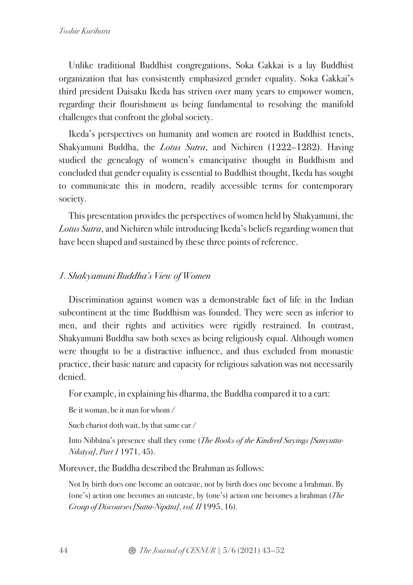Unlike traditional Buddhist congregations, Soka Gakkai is a lay Buddhist organization that has consistently emphasized gender equality. Soka Gakkai's third president Daisaku Ikeda has striven over many years to empower women, regarding their flourishment as being fundamental to resolving the manifold challenges that confront the global society.

Ikeda's perspectives on humanity and women are rooted in Buddhist tenets, Shakyamuni Buddha, the *Lotus Sutra*, and Nichiren (1222–1282). Having studied the genealogy of women's emancipative thought in Buddhism and concluded that gender equality is essential to Buddhist thought, Ikeda has sought to communicate this in modern, readily accessible terms for contemporary society.

This presentation provides the perspectives of women held by Shakyamuni, the *Lotus Sutra*, and Nichiren while introducing Ikeda's beliefs regarding women that have been shaped and sustained by these three points of reference.

# *1. Shakyamuni Buddha's View of Women*

Discrimination against women was a demonstrable fact of life in the Indian subcontinent at the time Buddhism was founded. They were seen as inferior to men, and their rights and activities were rigidly restrained. In contrast, Shakyamuni Buddha saw both sexes as being religiously equal. Although women were thought to be a distractive influence, and thus excluded from monastic practice, their basic nature and capacity for religious salvation was not necessarily denied.

For example, in explaining his dharma, the Buddha compared it to a cart:

Be it woman, be it man for whom /

Such chariot doth wait, by that same car /

Into Nibbāna's presence shall they come (*The Books of the Kindred Sayings [Sanyutta-Nik*ā*ya]*, *Part 1* 1971, 45).

Moreover, the Buddha described the Brahman as follows:

Not by birth does one become an outcaste, not by birth does one become a brahman. By (one's) action one becomes an outcaste, by (one's) action one becomes a brahman (*The Group of Discourses [Sutta-Nip*ā*ta]*, *vol. II* 1995, 16).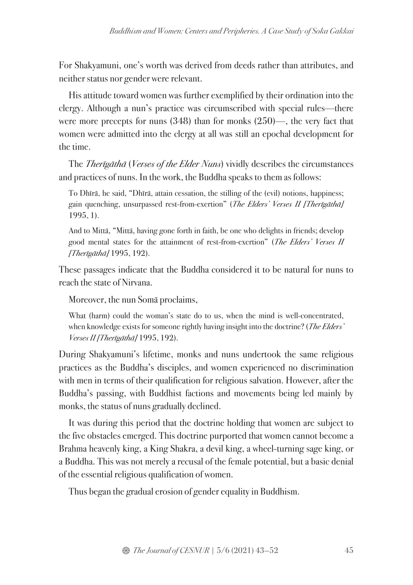For Shakyamuni, one's worth was derived from deeds rather than attributes, and neither status nor gender were relevant.

His attitude toward women was further exemplified by their ordination into the clergy. Although a nun's practice was circumscribed with special rules—there were more precepts for nuns (348) than for monks (250)—, the very fact that women were admitted into the clergy at all was still an epochal development for the time.

The *Ther*ī*g*ā*th*ā (*Verses of the Elder Nuns*) vividly describes the circumstances and practices of nuns. In the work, the Buddha speaks to them as follows:

To Dhīrā, he said, "Dhīrā, attain cessation, the stilling of the (evil) notions, happiness; gain quenching, unsurpassed rest-from-exertion" (*The Elders' Verses II [Ther*ī*g*ā*th*ā*]* 1995, 1).

And to Mittā, "Mittā, having gone forth in faith, be one who delights in friends; develop good mental states for the attainment of rest-from-exertion" (*The Elders' Verses II [Ther*ī*g*ā*th*ā*]* 1995, 192).

These passages indicate that the Buddha considered it to be natural for nuns to reach the state of Nirvana.

Moreover, the nun Somā proclaims,

What (harm) could the woman's state do to us, when the mind is well-concentrated, when knowledge exists for someone rightly having insight into the doctrine? (*The Elders' Verses II [Ther*ī*g*ā*th*ā*]* 1995, 192).

During Shakyamuni's lifetime, monks and nuns undertook the same religious practices as the Buddha's disciples, and women experienced no discrimination with men in terms of their qualification for religious salvation. However, after the Buddha's passing, with Buddhist factions and movements being led mainly by monks, the status of nuns gradually declined.

It was during this period that the doctrine holding that women are subject to the five obstacles emerged. This doctrine purported that women cannot become a Brahma heavenly king, a King Shakra, a devil king, a wheel-turning sage king, or a Buddha. This was not merely a recusal of the female potential, but a basic denial of the essential religious qualification of women.

Thus began the gradual erosion of gender equality in Buddhism.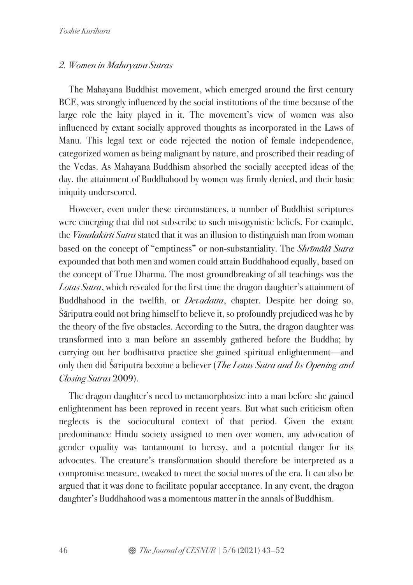#### *2. Women in Mahayana Sutras*

The Mahayana Buddhist movement, which emerged around the first century BCE, was strongly influenced by the social institutions of the time because of the large role the laity played in it. The movement's view of women was also influenced by extant socially approved thoughts as incorporated in the Laws of Manu. This legal text or code rejected the notion of female independence, categorized women as being malignant by nature, and proscribed their reading of the Vedas. As Mahayana Buddhism absorbed the socially accepted ideas of the day, the attainment of Buddhahood by women was firmly denied, and their basic iniquity underscored.

However, even under these circumstances, a number of Buddhist scriptures were emerging that did not subscribe to such misogynistic beliefs. For example, the *Vimalak*ī*rti Sutra* stated that it was an illusion to distinguish man from woman based on the concept of "emptiness" or non-substantiality. The *Shr*ī*m*ā*l*ā *Sutra* expounded that both men and women could attain Buddhahood equally, based on the concept of True Dharma. The most groundbreaking of all teachings was the *Lotus Sutra*, which revealed for the first time the dragon daughter's attainment of Buddhahood in the twelfth, or *Devadatta*, chapter. Despite her doing so, Śāriputra could not bring himself to believe it, so profoundly prejudiced was he by the theory of the five obstacles. According to the Sutra, the dragon daughter was transformed into a man before an assembly gathered before the Buddha; by carrying out her bodhisattva practice she gained spiritual enlightenment—and only then did Śāriputra become a believer (*The Lotus Sutra and Its Opening and Closing Sutras* 2009).

The dragon daughter's need to metamorphosize into a man before she gained enlightenment has been reproved in recent years. But what such criticism often neglects is the sociocultural context of that period. Given the extant predominance Hindu society assigned to men over women, any advocation of gender equality was tantamount to heresy, and a potential danger for its advocates. The creature's transformation should therefore be interpreted as a compromise measure, tweaked to meet the social mores of the era. It can also be argued that it was done to facilitate popular acceptance. In any event, the dragon daughter's Buddhahood was a momentous matter in the annals of Buddhism.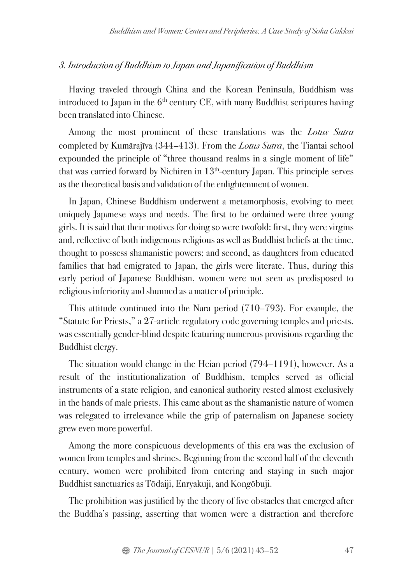### *3. Introduction of Buddhism to Japan and Japanification of Buddhism*

Having traveled through China and the Korean Peninsula, Buddhism was introduced to Japan in the  $6<sup>th</sup>$  century CE, with many Buddhist scriptures having been translated into Chinese.

Among the most prominent of these translations was the *Lotus Sutra* completed by Kumārajīva (344–413). From the *Lotus Sutra*, the Tiantai school expounded the principle of "three thousand realms in a single moment of life" that was carried forward by Nichiren in  $13<sup>th</sup>$ -century Japan. This principle serves as the theoretical basis and validation of the enlightenment of women.

In Japan, Chinese Buddhism underwent a metamorphosis, evolving to meet uniquely Japanese ways and needs. The first to be ordained were three young girls. It is said that their motives for doing so were twofold: first, they were virgins and, reflective of both indigenous religious as well as Buddhist beliefs at the time, thought to possess shamanistic powers; and second, as daughters from educated families that had emigrated to Japan, the girls were literate. Thus, during this early period of Japanese Buddhism, women were not seen as predisposed to religious inferiority and shunned as a matter of principle.

This attitude continued into the Nara period (710–793). For example, the "Statute for Priests," a 27-article regulatory code governing temples and priests, was essentially gender-blind despite featuring numerous provisions regarding the Buddhist clergy.

The situation would change in the Heian period (794–1191), however. As a result of the institutionalization of Buddhism, temples served as official instruments of a state religion, and canonical authority rested almost exclusively in the hands of male priests. This came about as the shamanistic nature of women was relegated to irrelevance while the grip of paternalism on Japanese society grew even more powerful.

Among the more conspicuous developments of this era was the exclusion of women from temples and shrines. Beginning from the second half of the eleventh century, women were prohibited from entering and staying in such major Buddhist sanctuaries as Tōdaiji, Enryakuji, and Kongōbuji.

The prohibition was justified by the theory of five obstacles that emerged after the Buddha's passing, asserting that women were a distraction and therefore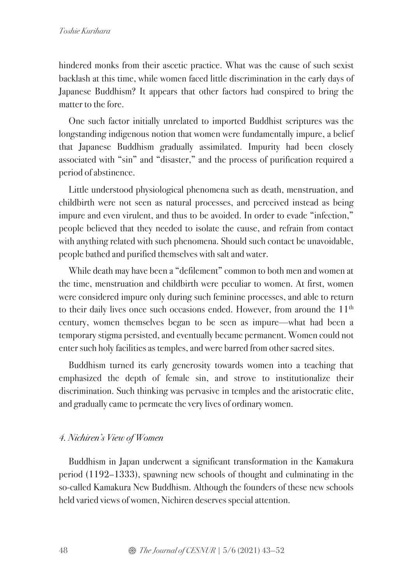hindered monks from their ascetic practice. What was the cause of such sexist backlash at this time, while women faced little discrimination in the early days of Japanese Buddhism? It appears that other factors had conspired to bring the matter to the fore.

One such factor initially unrelated to imported Buddhist scriptures was the longstanding indigenous notion that women were fundamentally impure, a belief that Japanese Buddhism gradually assimilated. Impurity had been closely associated with "sin" and "disaster," and the process of purification required a period of abstinence.

Little understood physiological phenomena such as death, menstruation, and childbirth were not seen as natural processes, and perceived instead as being impure and even virulent, and thus to be avoided. In order to evade "infection," people believed that they needed to isolate the cause, and refrain from contact with anything related with such phenomena. Should such contact be unavoidable, people bathed and purified themselves with salt and water.

While death may have been a "defilement" common to both men and women at the time, menstruation and childbirth were peculiar to women. At first, women were considered impure only during such feminine processes, and able to return to their daily lives once such occasions ended. However, from around the  $11<sup>th</sup>$ century, women themselves began to be seen as impure—what had been a temporary stigma persisted, and eventually became permanent. Women could not enter such holy facilities as temples, and were barred from other sacred sites.

Buddhism turned its early generosity towards women into a teaching that emphasized the depth of female sin, and strove to institutionalize their discrimination. Such thinking was pervasive in temples and the aristocratic elite, and gradually came to permeate the very lives of ordinary women.

## *4. Nichiren's View of Women*

Buddhism in Japan underwent a significant transformation in the Kamakura period (1192–1333), spawning new schools of thought and culminating in the so-called Kamakura New Buddhism. Although the founders of these new schools held varied views of women, Nichiren deserves special attention.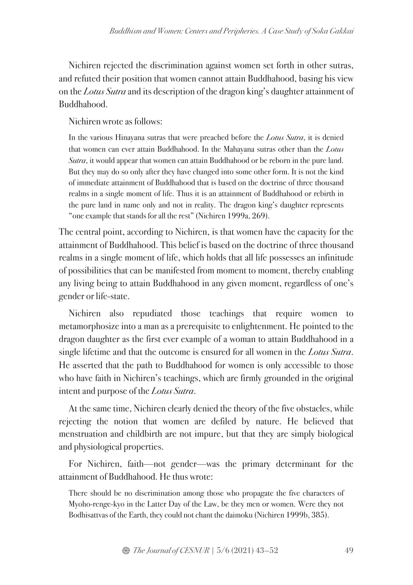Nichiren rejected the discrimination against women set forth in other sutras, and refuted their position that women cannot attain Buddhahood, basing his view on the *Lotus Sutra* and its description of the dragon king's daughter attainment of Buddhahood.

Nichiren wrote as follows:

In the various Hinayana sutras that were preached before the *Lotus Sutra*, it is denied that women can ever attain Buddhahood. In the Mahayana sutras other than the *Lotus Sutra*, it would appear that women can attain Buddhahood or be reborn in the pure land. But they may do so only after they have changed into some other form. It is not the kind of immediate attainment of Buddhahood that is based on the doctrine of three thousand realms in a single moment of life. Thus it is an attainment of Buddhahood or rebirth in the pure land in name only and not in reality. The dragon king's daughter represents "one example that stands for all the rest" (Nichiren 1999a, 269).

The central point, according to Nichiren, is that women have the capacity for the attainment of Buddhahood. This belief is based on the doctrine of three thousand realms in a single moment of life, which holds that all life possesses an infinitude of possibilities that can be manifested from moment to moment, thereby enabling any living being to attain Buddhahood in any given moment, regardless of one's gender or life-state.

Nichiren also repudiated those teachings that require women to metamorphosize into a man as a prerequisite to enlightenment. He pointed to the dragon daughter as the first ever example of a woman to attain Buddhahood in a single lifetime and that the outcome is ensured for all women in the *Lotus Sutra*. He asserted that the path to Buddhahood for women is only accessible to those who have faith in Nichiren's teachings, which are firmly grounded in the original intent and purpose of the *Lotus Sutra*.

At the same time, Nichiren clearly denied the theory of the five obstacles, while rejecting the notion that women are defiled by nature. He believed that menstruation and childbirth are not impure, but that they are simply biological and physiological properties.

For Nichiren, faith—not gender—was the primary determinant for the attainment of Buddhahood. He thus wrote:

There should be no discrimination among those who propagate the five characters of Myoho-renge-kyo in the Latter Day of the Law, be they men or women. Were they not Bodhisattvas of the Earth, they could not chant the daimoku (Nichiren 1999b, 385).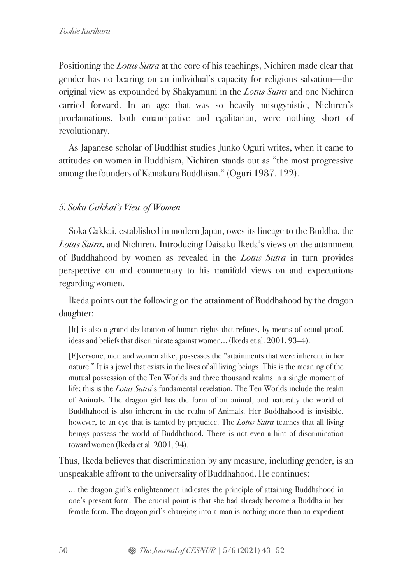Positioning the *Lotus Sutra* at the core of his teachings, Nichiren made clear that gender has no bearing on an individual's capacity for religious salvation—the original view as expounded by Shakyamuni in the *Lotus Sutra* and one Nichiren carried forward. In an age that was so heavily misogynistic, Nichiren's proclamations, both emancipative and egalitarian, were nothing short of revolutionary.

As Japanese scholar of Buddhist studies Junko Oguri writes, when it came to attitudes on women in Buddhism, Nichiren stands out as "the most progressive among the founders of Kamakura Buddhism." (Oguri 1987, 122).

## *5. Soka Gakkai's View of Women*

Soka Gakkai, established in modern Japan, owes its lineage to the Buddha, the *Lotus Sutra*, and Nichiren. Introducing Daisaku Ikeda's views on the attainment of Buddhahood by women as revealed in the *Lotus Sutra* in turn provides perspective on and commentary to his manifold views on and expectations regarding women.

Ikeda points out the following on the attainment of Buddhahood by the dragon daughter:

[It] is also a grand declaration of human rights that refutes, by means of actual proof, ideas and beliefs that discriminate against women… (Ikeda et al. 2001, 93–4).

[E]veryone, men and women alike, possesses the "attainments that were inherent in her nature." It is a jewel that exists in the lives of all living beings. This is the meaning of the mutual possession of the Ten Worlds and three thousand realms in a single moment of life; this is the *Lotus Sutra*'s fundamental revelation. The Ten Worlds include the realm of Animals. The dragon girl has the form of an animal, and naturally the world of Buddhahood is also inherent in the realm of Animals. Her Buddhahood is invisible, however, to an eye that is tainted by prejudice. The *Lotus Sutra* teaches that all living beings possess the world of Buddhahood. There is not even a hint of discrimination toward women (Ikeda et al. 2001, 94).

Thus, Ikeda believes that discrimination by any measure, including gender, is an unspeakable affront to the universality of Buddhahood. He continues:

… the dragon girl's enlightenment indicates the principle of attaining Buddhahood in one's present form. The crucial point is that she had already become a Buddha in her female form. The dragon girl's changing into a man is nothing more than an expedient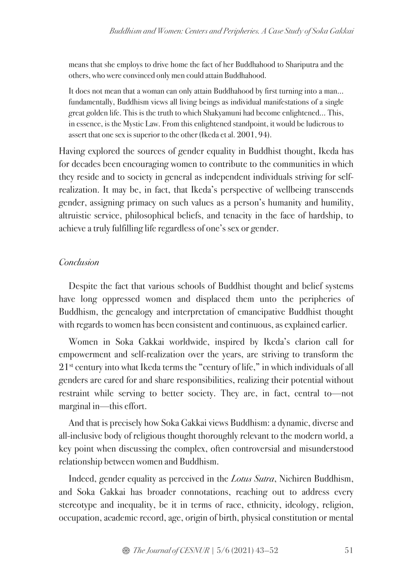means that she employs to drive home the fact of her Buddhahood to Shariputra and the others, who were convinced only men could attain Buddhahood.

It does not mean that a woman can only attain Buddhahood by first turning into a man… fundamentally, Buddhism views all living beings as individual manifestations of a single great golden life. This is the truth to which Shakyamuni had become enlightened… This, in essence, is the Mystic Law. From this enlightened standpoint, it would be ludicrous to assert that one sex is superior to the other (Ikeda et al. 2001, 94).

Having explored the sources of gender equality in Buddhist thought, Ikeda has for decades been encouraging women to contribute to the communities in which they reside and to society in general as independent individuals striving for selfrealization. It may be, in fact, that Ikeda's perspective of wellbeing transcends gender, assigning primacy on such values as a person's humanity and humility, altruistic service, philosophical beliefs, and tenacity in the face of hardship, to achieve a truly fulfilling life regardless of one's sex or gender.

### *Conclusion*

Despite the fact that various schools of Buddhist thought and belief systems have long oppressed women and displaced them unto the peripheries of Buddhism, the genealogy and interpretation of emancipative Buddhist thought with regards to women has been consistent and continuous, as explained earlier.

Women in Soka Gakkai worldwide, inspired by Ikeda's clarion call for empowerment and self-realization over the years, are striving to transform the 21st century into what Ikeda terms the "century of life," in which individuals of all genders are cared for and share responsibilities, realizing their potential without restraint while serving to better society. They are, in fact, central to—not marginal in—this effort.

And that is precisely how Soka Gakkai views Buddhism: a dynamic, diverse and all-inclusive body of religious thought thoroughly relevant to the modern world, a key point when discussing the complex, often controversial and misunderstood relationship between women and Buddhism.

Indeed, gender equality as perceived in the *Lotus Sutra*, Nichiren Buddhism, and Soka Gakkai has broader connotations, reaching out to address every stereotype and inequality, be it in terms of race, ethnicity, ideology, religion, occupation, academic record, age, origin of birth, physical constitution or mental